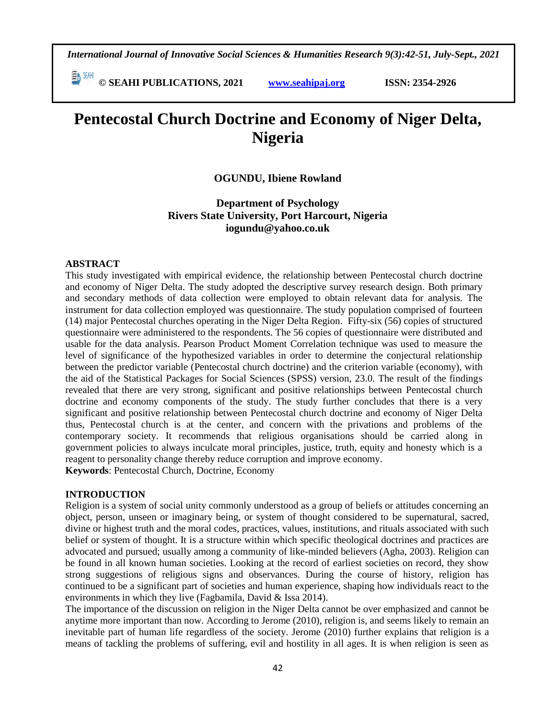*International Journal of Innovative Social Sciences & Humanities Research 9(3):42-51, July-Sept., 2021*

 **© SEAHI PUBLICATIONS, 2021 [www.seahipaj.org](http://www.seahipaj.org/) ISSN: 2354-2926** 

# **Pentecostal Church Doctrine and Economy of Niger Delta, Nigeria**

# **OGUNDU, Ibiene Rowland**

**Department of Psychology Rivers State University, Port Harcourt, Nigeria iogundu@yahoo.co.uk**

# **ABSTRACT**

This study investigated with empirical evidence, the relationship between Pentecostal church doctrine and economy of Niger Delta. The study adopted the descriptive survey research design. Both primary and secondary methods of data collection were employed to obtain relevant data for analysis. The instrument for data collection employed was questionnaire. The study population comprised of fourteen (14) major Pentecostal churches operating in the Niger Delta Region. Fifty-six (56) copies of structured questionnaire were administered to the respondents. The 56 copies of questionnaire were distributed and usable for the data analysis. Pearson Product Moment Correlation technique was used to measure the level of significance of the hypothesized variables in order to determine the conjectural relationship between the predictor variable (Pentecostal church doctrine) and the criterion variable (economy), with the aid of the Statistical Packages for Social Sciences (SPSS) version, 23.0. The result of the findings revealed that there are very strong, significant and positive relationships between Pentecostal church doctrine and economy components of the study. The study further concludes that there is a very significant and positive relationship between Pentecostal church doctrine and economy of Niger Delta thus, Pentecostal church is at the center, and concern with the privations and problems of the contemporary society. It recommends that religious organisations should be carried along in government policies to always inculcate moral principles, justice, truth, equity and honesty which is a reagent to personality change thereby reduce corruption and improve economy. **Keywords**: Pentecostal Church, Doctrine, Economy

# **INTRODUCTION**

Religion is a system of social unity commonly understood as a group of beliefs or attitudes concerning an object, person, unseen or imaginary being, or system of thought considered to be supernatural, sacred, divine or highest truth and the moral codes, practices, values, institutions, and rituals associated with such belief or system of thought. It is a structure within which specific theological doctrines and practices are advocated and pursued; usually among a community of like-minded believers (Agha, 2003). Religion can be found in all known human societies. Looking at the record of earliest societies on record, they show strong suggestions of religious signs and observances. During the course of history, religion has continued to be a significant part of societies and human experience, shaping how individuals react to the environments in which they live (Fagbamila, David & Issa 2014).

The importance of the discussion on religion in the Niger Delta cannot be over emphasized and cannot be anytime more important than now. According to Jerome (2010), religion is, and seems likely to remain an inevitable part of human life regardless of the society. Jerome (2010) further explains that religion is a means of tackling the problems of suffering, evil and hostility in all ages. It is when religion is seen as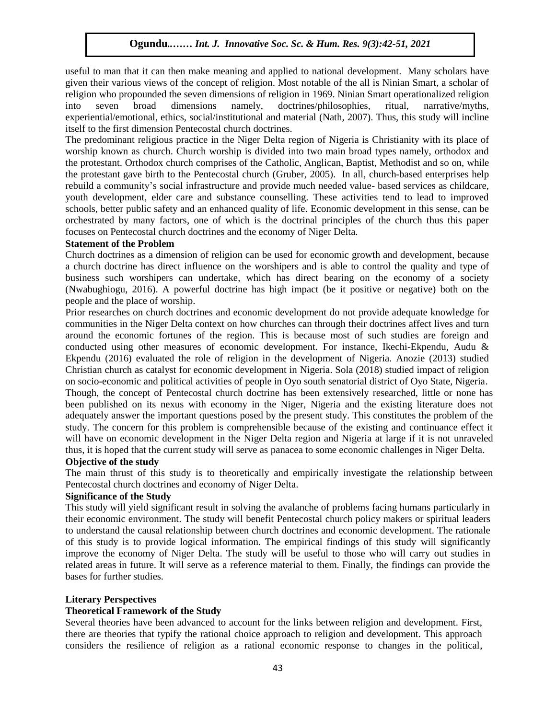useful to man that it can then make meaning and applied to national development. Many scholars have given their various views of the concept of religion. Most notable of the all is Ninian Smart, a scholar of religion who propounded the seven dimensions of religion in 1969. Ninian Smart operationalized religion into seven broad dimensions namely, doctrines/philosophies, ritual, narrative/myths, experiential/emotional, ethics, social/institutional and material (Nath, 2007). Thus, this study will incline itself to the first dimension Pentecostal church doctrines.

The predominant religious practice in the Niger Delta region of Nigeria is Christianity with its place of worship known as church. Church worship is divided into two main broad types namely, orthodox and the protestant. Orthodox church comprises of the Catholic, Anglican, Baptist, Methodist and so on, while the protestant gave birth to the Pentecostal church (Gruber, 2005). In all, church-based enterprises help rebuild a community's social infrastructure and provide much needed value- based services as childcare, youth development, elder care and substance counselling. These activities tend to lead to improved schools, better public safety and an enhanced quality of life. Economic development in this sense, can be orchestrated by many factors, one of which is the doctrinal principles of the church thus this paper focuses on Pentecostal church doctrines and the economy of Niger Delta.

#### **Statement of the Problem**

Statement of the Froblem<br>Church doctrines as a dimension of religion can be used for economic growth and development, because a church doctrine has direct influence on the worshipers and is able to control the quality and type of business such worshipers can undertake, which has direct bearing on the economy of a society (Nwabughiogu, 2016). A powerful doctrine has high impact (be it positive or negative) both on the people and the place of worship.

Prior researches on church doctrines and economic development do not provide adequate knowledge for communities in the Niger Delta context on how churches can through their doctrines affect lives and turn communities in the riger Betta context on now entirelies can unough their documes aricet fives and turn<br>around the economic fortunes of the region. This is because most of such studies are foreign and conducted using other measures of economic development. For instance, Ikechi-Ekpendu, Audu & Ekpendu (2016) evaluated the role of religion in the development of Nigeria. Anozie (2013) studied Christian church as catalyst for economic development in Nigeria. Sola (2018) studied impact of religion on socio-economic and political activities of people in Oyo south senatorial district of Oyo State, Nigeria. Though, the concept of Pentecostal church doctrine has been extensively researched, little or none has been published on its nexus with economy in the Niger, Nigeria and the existing literature does not adequately answer the important questions posed by the present study. This constitutes the problem of the study. The concern for this problem is comprehensible because of the existing and continuance effect it will have on economic development in the Niger Delta region and Nigeria at large if it is not unraveled thus, it is hoped that the current study will serve as panacea to some economic challenges in Niger Delta.

# **Objective of the study**

The main thrust of this study is to theoretically and empirically investigate the relationship between Pentecostal church doctrines and economy of Niger Delta.

# **Significance of the Study**

This study will yield significant result in solving the avalanche of problems facing humans particularly in their economic environment. The study will benefit Pentecostal church policy makers or spiritual leaders to understand the causal relationship between church doctrines and economic development. The rationale of this study is to provide logical information. The empirical findings of this study will significantly improve the economy of Niger Delta. The study will be useful to those who will carry out studies in related areas in future. It will serve as a reference material to them. Finally, the findings can provide the bases for further studies.

# **Literary Perspectives**

#### **Theoretical Framework of the Study**

Several theories have been advanced to account for the links between religion and development. First, there are theories that typify the rational choice approach to religion and development. This approach considers the resilience of religion as a rational economic response to changes in the political,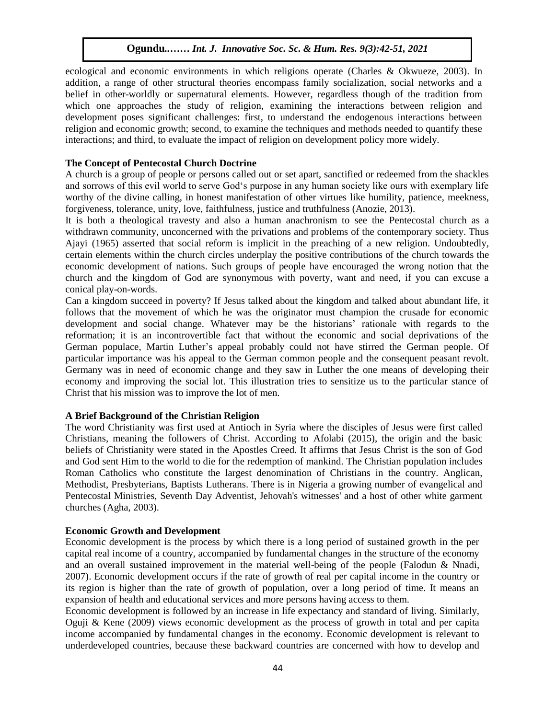ecological and economic environments in which religions operate (Charles & Okwueze, 2003). In addition, a range of other structural theories encompass family socialization, social networks and a addition, a range of other structural elements encompass ranning socialization, social networks and a<br>belief in other-worldly or supernatural elements. However, regardless though of the tradition from which one approaches the study of religion, examining the interactions between religion and development poses significant challenges: first, to understand the endogenous interactions between religion and economic growth; second, to examine the techniques and methods needed to quantify these interactions; and third, to evaluate the impact of religion on development policy more widely.

# **The Concept of Pentecostal Church Doctrine**

A church is a group of people or persons called out or set apart, sanctified or redeemed from the shackles and sorrows of this evil world to serve God's purpose in any human society like ours with exemplary life worthy of the divine calling, in honest manifestation of other virtues like humility, patience, meekness, forgiveness, tolerance, unity, love, faithfulness, justice and truthfulness (Anozie, 2013).

It is both a theological travesty and also a human anachronism to see the Pentecostal church as a withdrawn community, unconcerned with the privations and problems of the contemporary society. Thus Ajayi (1965) asserted that social reform is implicit in the preaching of a new religion. Undoubtedly, certain elements within the church circles underplay the positive contributions of the church towards the economic development of nations. Such groups of people have encouraged the wrong notion that the church and the kingdom of God are synonymous with poverty, want and need, if you can excuse a conical play-on-words.

comcai piay-on-worus.<br>Can a kingdom succeed in poverty? If Jesus talked about the kingdom and talked about abundant life, it follows that the movement of which he was the originator must champion the crusade for economic development and social change. Whatever may be the historians' rationale with regards to the reformation; it is an incontrovertible fact that without the economic and social deprivations of the German populace, Martin Luther's appeal probably could not have stirred the German people. Of particular importance was his appeal to the German common people and the consequent peasant revolt. Germany was in need of economic change and they saw in Luther the one means of developing their economy and improving the social lot. This illustration tries to sensitize us to the particular stance of Christ that his mission was to improve the lot of men.

#### **A Brief Background of the Christian Religion**

The word Christianity was first used at Antioch in Syria where the disciples of Jesus were first called Christians, meaning the followers of Christ. According to Afolabi (2015), the origin and the basic beliefs of Christianity were stated in the Apostles Creed. It affirms that Jesus Christ is the son of God and God sent Him to the world to die for the redemption of mankind. The Christian population includes Roman Catholics who constitute the largest denomination of Christians in the country. Anglican, Methodist, Presbyterians, Baptists Lutherans. There is in Nigeria a growing number of evangelical and Pentecostal Ministries, Seventh Day Adventist, Jehovah's witnesses' and a host of other white garment churches (Agha, 2003).

#### **Economic Growth and Development**

Economic development is the process by which there is a long period of sustained growth in the per capital real income of a country, accompanied by fundamental changes in the structure of the economy and an overall sustained improvement in the material well-being of the people (Falodun & Nnadi, 2007). Economic development occurs if the rate of growth of real per capital income in the country or its region is higher than the rate of growth of population, over a long period of time. It means an expansion of health and educational services and more persons having access to them.

Economic development is followed by an increase in life expectancy and standard of living. Similarly, Oguji & Kene (2009) views economic development as the process of growth in total and per capita income accompanied by fundamental changes in the economy. Economic development is relevant to underdeveloped countries, because these backward countries are concerned with how to develop and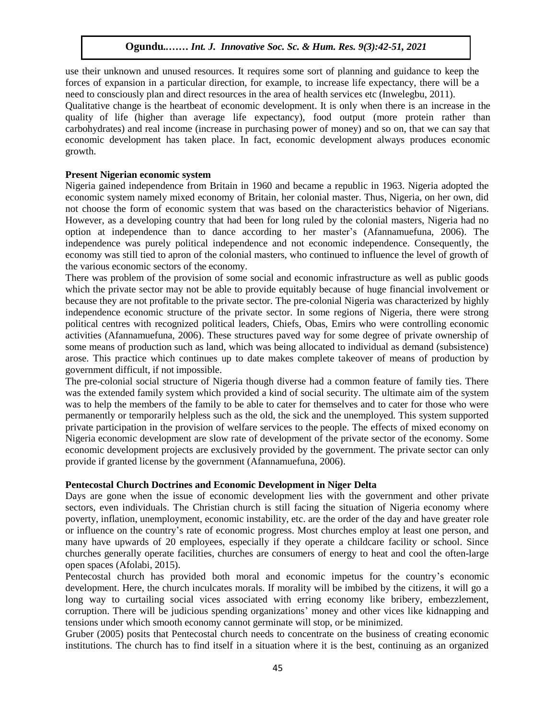use their unknown and unused resources. It requires some sort of planning and guidance to keep the forces of expansion in a particular direction, for example, to increase life expectancy, there will be a need to consciously plan and direct resources in the area of health services etc (Inwelegbu, 2011).

Qualitative change is the heartbeat of economic development. It is only when there is an increase in the quality of life (higher than average life expectancy), food output (more protein rather than carbohydrates) and real income (increase in purchasing power of money) and so on, that we can say that economic development has taken place. In fact, economic development always produces economic growth.

# **Present Nigerian economic system**

Nigeria gained independence from Britain in 1960 and became a republic in 1963. Nigeria adopted the economic system namely mixed economy of Britain, her colonial master. Thus, Nigeria, on her own, did not choose the form of economic system that was based on the characteristics behavior of Nigerians. However, as a developing country that had been for long ruled by the colonial masters, Nigeria had no option at independence than to dance according to her master's (Afannamuefuna, 2006). The independence was purely political independence and not economic independence. Consequently, the economy was still tied to apron of the colonial masters, who continued to influence the level of growth of the various economic sectors of the economy.

There was problem of the provision of some social and economic infrastructure as well as public goods which the private sector may not be able to provide equitably because of huge financial involvement or because they are not profitable to the private sector. The pre-colonial Nigeria was characterized by highly independence economic structure of the private sector. In some regions of Nigeria, there were strong political centres with recognized political leaders, Chiefs, Obas, Emirs who were controlling economic activities (Afannamuefuna, 2006). These structures paved way for some degree of private ownership of some means of production such as land, which was being allocated to individual as demand (subsistence) arose. This practice which continues up to date makes complete takeover of means of production by government difficult, if not impossible.

The pre-colonial social structure of Nigeria though diverse had a common feature of family ties. There was the extended family system which provided a kind of social security. The ultimate aim of the system was to help the members of the family to be able to cater for themselves and to cater for those who were permanently or temporarily helpless such as the old, the sick and the unemployed. This system supported private participation in the provision of welfare services to the people. The effects of mixed economy on Nigeria economic development are slow rate of development of the private sector of the economy. Some economic development projects are exclusively provided by the government. The private sector can only provide if granted license by the government (Afannamuefuna, 2006).

# **Pentecostal Church Doctrines and Economic Development in Niger Delta**

Days are gone when the issue of economic development lies with the government and other private sectors, even individuals. The Christian church is still facing the situation of Nigeria economy where poverty, inflation, unemployment, economic instability, etc. are the order of the day and have greater role or influence on the country's rate of economic progress. Most churches employ at least one person, and many have upwards of 20 employees, especially if they operate a childcare facility or school. Since churches generally operate facilities, churches are consumers of energy to heat and cool the often-large open spaces (Afolabi, 2015).

Pentecostal church has provided both moral and economic impetus for the country's economic development. Here, the church inculcates morals. If morality will be imbibed by the citizens, it will go a long way to curtailing social vices associated with erring economy like bribery, embezzlement, corruption. There will be judicious spending organizations' money and other vices like kidnapping and tensions under which smooth economy cannot germinate will stop, or be minimized.

Gruber (2005) posits that Pentecostal church needs to concentrate on the business of creating economic institutions. The church has to find itself in a situation where it is the best, continuing as an organized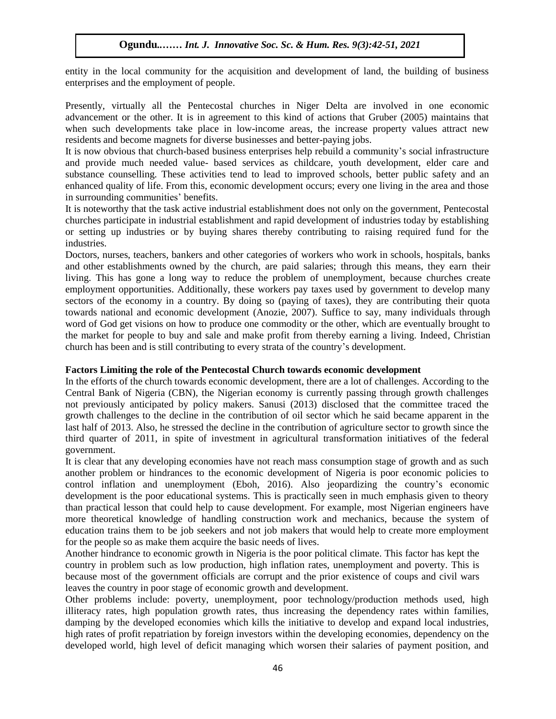entity in the local community for the acquisition and development of land, the building of business enterprises and the employment of people.

Presently, virtually all the Pentecostal churches in Niger Delta are involved in one economic advancement or the other. It is in agreement to this kind of actions that Gruber (2005) maintains that when such developments take place in low-income areas, the increase property values attract new residents and become magnets for diverse businesses and better-paying jobs.

It is now obvious that church-based business enterprises help rebuild a community's social infrastructure and provide much needed value- based services as childcare, youth development, elder care and and provide much needed value- based services as childcare, yount development, ender care and substance counselling. These activities tend to lead to improved schools, better public safety and an enhanced quality of life. From this, economic development occurs; every one living in the area and those in surrounding communities' benefits.

It is noteworthy that the task active industrial establishment does not only on the government, Pentecostal churches participate in industrial establishment and rapid development of industries today by establishing or setting up industries or by buying shares thereby contributing to raising required fund for the industries.

maustries.<br>Doctors, nurses, teachers, bankers and other categories of workers who work in schools, hospitals, banks and other establishments owned by the church, are paid salaries; through this means, they earn their living. This has gone a long way to reduce the problem of unemployment, because churches create employment opportunities. Additionally, these workers pay taxes used by government to develop many sectors of the economy in a country. By doing so (paying of taxes), they are contributing their quota towards national and economic development (Anozie, 2007). Suffice to say, many individuals through word of God get visions on how to produce one commodity or the other, which are eventually brought to the market for people to buy and sale and make profit from thereby earning a living. Indeed, Christian the exercise of the market for people to buy and sale and make profit from thereby earning a living. Indeed, Christian church has been and is still contributing to every strata of the country's development.

#### **Factors Limiting the role of the Pentecostal Church towards economic development**

In the efforts of the church towards economic development, there are a lot of challenges. According to the Central Bank of Nigeria (CBN), the Nigerian economy is currently passing through growth challenges not previously anticipated by policy makers. Sanusi (2013) disclosed that the committee traced the growth challenges to the decline in the contribution of oil sector which he said became apparent in the last half of 2013. Also, he stressed the decline in the contribution of agriculture sector to growth since the third quarter of 2011, in spite of investment in agricultural transformation initiatives of the federal government.

It is clear that any developing economies have not reach mass consumption stage of growth and as such another problem or hindrances to the economic development of Nigeria is poor economic policies to control inflation and unemployment (Eboh, 2016). Also jeopardizing the country's economic development is the poor educational systems. This is practically seen in much emphasis given to theory than practical lesson that could help to cause development. For example, most Nigerian engineers have more theoretical knowledge of handling construction work and mechanics, because the system of education trains them to be job seekers and not job makers that would help to create more employment for the people so as make them acquire the basic needs of lives.

Another hindrance to economic growth in Nigeria is the poor political climate. This factor has kept the country in problem such as low production, high inflation rates, unemployment and poverty. This is because most of the government officials are corrupt and the prior existence of coups and civil wars leaves the country in poor stage of economic growth and development.

Other problems include: poverty, unemployment, poor technology/production methods used, high illiteracy rates, high population growth rates, thus increasing the dependency rates within families, damping by the developed economies which kills the initiative to develop and expand local industries, high rates of profit repatriation by foreign investors within the developing economies, dependency on the developed world, high level of deficit managing which worsen their salaries of payment position, and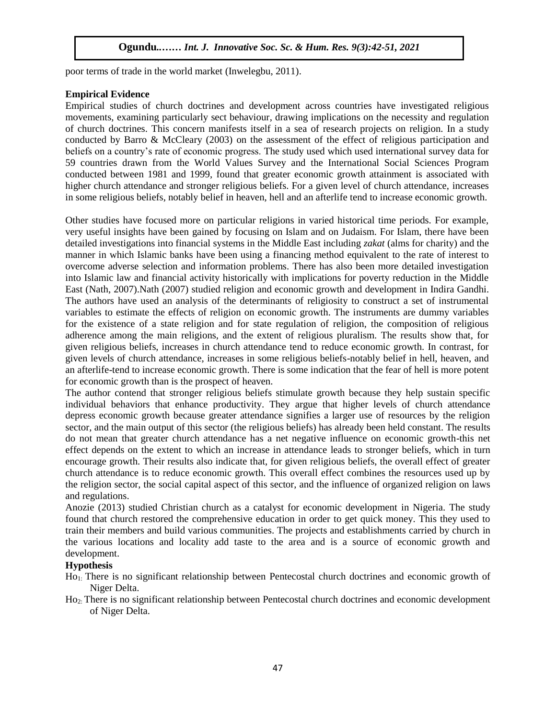poor terms of trade in the world market (Inwelegbu, 2011).

# **Empirical Evidence**

Empirical studies of church doctrines and development across countries have investigated religious movements, examining particularly sect behaviour, drawing implications on the necessity and regulation of church doctrines. This concern manifests itself in a sea of research projects on religion. In a study conducted by Barro & McCleary (2003) on the assessment of the effect of religious participation and beliefs on a country's rate of economic progress. The study used which used international survey data for 59 countries drawn from the World Values Survey and the International Social Sciences Program conducted between 1981 and 1999, found that greater economic growth attainment is associated with  $\frac{1}{2}$ . higher church attendance and stronger religious beliefs. For a given level of church attendance, increases in some religious beliefs, notably belief in heaven, hell and an afterlife tend to increase economic growth.

Other studies have focused more on particular religions in varied historical time periods. For example, very useful insights have been gained by focusing on Islam and on Judaism. For Islam, there have been detailed investigations into financial systems in the Middle East including *zakat* (alms for charity) and the manner in which Islamic banks have been using a financing method equivalent to the rate of interest to overcome adverse selection and information problems. There has also been more detailed investigation into Islamic law and financial activity historically with implications for poverty reduction in the Middle East (Nath, 2007). Nath (2007) studied religion and economic growth and development in Indira Gandhi. The authors have used an analysis of the determinants of religiosity to construct a set of instrumental variables to estimate the effects of religion on economic growth. The instruments are dummy variables for the existence of a state religion and for state regulation of religion, the composition of religious adherence among the main religions, and the extent of religious pluralism. The results show that, for given religious beliefs, increases in church attendance tend to reduce economic growth. In contrast, for given levels of church attendance, increases in some religious beliefs-notably belief in hell, heaven, and an afterlife-tend to increase economic growth. There is some indication that the fear of hell is more potent for economic growth than is the prospect of heaven.

The author contend that stronger religious beliefs stimulate growth because they help sustain specific individual behaviors that enhance productivity. They argue that higher levels of church attendance depress economic growth because greater attendance signifies a larger use of resources by the religion sector, and the main output of this sector (the religious beliefs) has already been held constant. The results do not mean that greater church attendance has a net negative influence on economic growth-this net effect depends on the extent to which an increase in attendance leads to stronger beliefs, which in turn encourage growth. Their results also indicate that, for given religious beliefs, the overall effect of greater church attendance is to reduce economic growth. This overall effect combines the resources used up by the religion sector, the social capital aspect of this sector, and the influence of organized religion on laws and regulations.

Anozie (2013) studied Christian church as a catalyst for economic development in Nigeria. The study found that church restored the comprehensive education in order to get quick money. This they used to train their members and build various communities. The projects and establishments carried by church in the various locations and locality add taste to the area and is a source of economic growth and development.

# **Hypothesis**

- Ho1: There is no significant relationship between Pentecostal church doctrines and economic growth of Niger Delta.
- Ho2: There is no significant relationship between Pentecostal church doctrines and economic development of Niger Delta.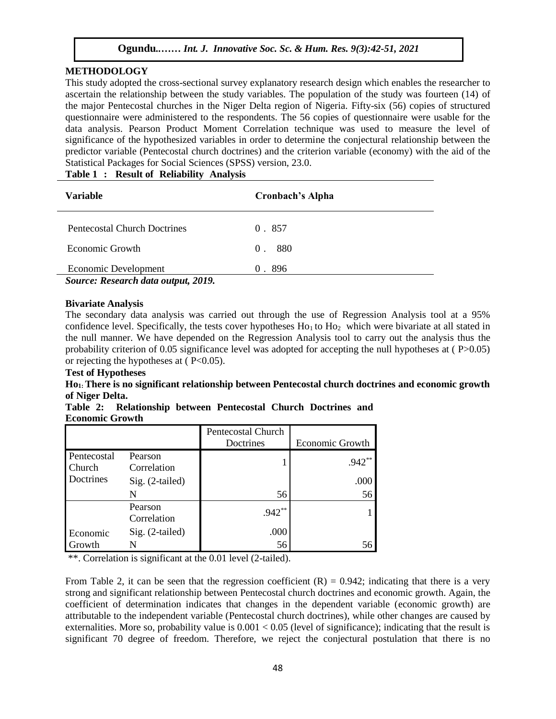# **METHODOLOGY**

This study adopted the cross-sectional survey explanatory research design which enables the researcher to ascertain the relationship between the study variables. The population of the study was fourteen (14) of the major Pentecostal churches in the Niger Delta region of Nigeria. Fifty-six (56) copies of structured questionnaire were administered to the respondents. The 56 copies of questionnaire were usable for the data analysis. Pearson Product Moment Correlation technique was used to measure the level of significance of the hypothesized variables in order to determine the conjectural relationship between the predictor variable (Pentecostal church doctrines) and the criterion variable (economy) with the aid of the Statistical Packages for Social Sciences (SPSS) version, 23.0.

|  |                                         | the contract of the contract of the contract of the contract of the contract of the contract of the contract of |  |  |
|--|-----------------------------------------|-----------------------------------------------------------------------------------------------------------------|--|--|
|  | Table 1: Result of Reliability Analysis |                                                                                                                 |  |  |

| <b>Variable</b>                                            | Cronbach's Alpha   |
|------------------------------------------------------------|--------------------|
| <b>Pentecostal Church Doctrines</b>                        | 0.857              |
|                                                            |                    |
| Economic Growth                                            | -880<br>$\theta$ . |
| Economic Development<br>Service: Desegrab John extent 2010 | 0.896              |

*Source: Research data output, 2019.*

### **Bivariate Analysis**

The secondary data analysis was carried out through the use of Regression Analysis tool at a 95% confidence level. Specifically, the tests cover hypotheses  $Ho<sub>1</sub>$  to  $Ho<sub>2</sub>$  which were bivariate at all stated in the null manner. We have depended on the Regression Analysis tool to carry out the analysis thus the probability criterion of 0.05 significance level was adopted for accepting the null hypotheses at ( P>0.05) or rejecting the hypotheses at  $(P<0.05)$ .

# **Test of Hypotheses**

# **Ho1: There is no significant relationship between Pentecostal church doctrines and economic growth of Niger Delta.**

| Table 2: Relationship between Pentecostal Church Doctrines and |  |  |  |
|----------------------------------------------------------------|--|--|--|
| <b>Economic Growth</b>                                         |  |  |  |

|                       |                        | Pentecostal Church<br>Doctrines | Economic Growth |
|-----------------------|------------------------|---------------------------------|-----------------|
| Pentecostal<br>Church | Pearson<br>Correlation |                                 | $.942**$        |
| Doctrines             | Sig. (2-tailed)        |                                 | .000            |
|                       |                        | 56                              | 56              |
|                       | Pearson<br>Correlation | $.942**$                        |                 |
| Economic              | Sig. (2-tailed)        | .000                            |                 |
| Growth                | N                      | 56                              | 56              |

\*\*. Correlation is significant at the 0.01 level (2-tailed).

From Table 2, it can be seen that the regression coefficient  $(R) = 0.942$ ; indicating that there is a very strong and significant relationship between Pentecostal church doctrines and economic growth. Again, the coefficient of determination indicates that changes in the dependent variable (economic growth) are attributable to the independent variable (Pentecostal church doctrines), while other changes are caused by externalities. More so, probability value is  $0.001 < 0.05$  (level of significance); indicating that the result is significant 70 degree of freedom. Therefore, we reject the conjectural postulation that there is no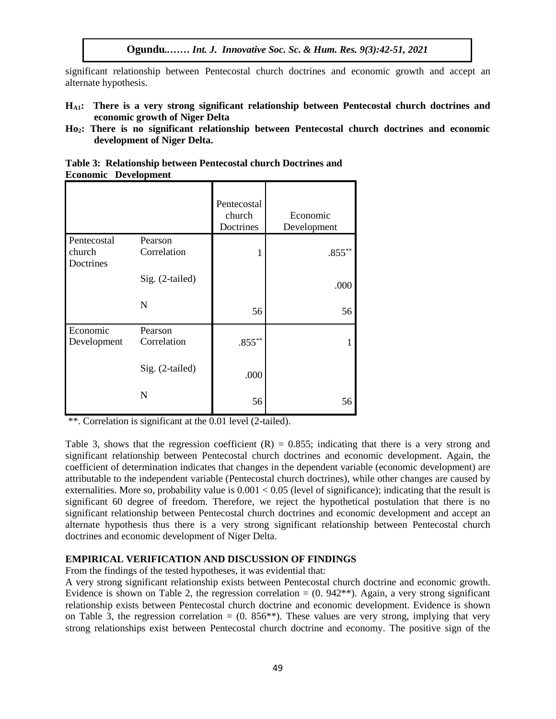**Ogundu***..…… Int. J. Innovative Soc. Sc. & Hum. Res. 9(3):42-51, 2021*

significant relationship between Pentecostal church doctrines and economic growth and accept an alternate hypothesis.  $\mathcal{A}_1$ 

- **HA1: There is a very strong significant relationship between Pentecostal church doctrines and economic growth of Niger Delta**
- Ho<sub>2</sub>: There is no significant relationship between Pentecostal church doctrines and economic **development of Niger Delta.**

| Table 3: Relationship between Pentecostal church Doctrines and |
|----------------------------------------------------------------|
| <b>Economic Development</b>                                    |

|                                    |                        | Pentecostal<br>church<br>Doctrines | Economic<br>Development |  |
|------------------------------------|------------------------|------------------------------------|-------------------------|--|
| Pentecostal<br>church<br>Doctrines | Pearson<br>Correlation | 1                                  | $.855***$               |  |
|                                    | Sig. (2-tailed)        |                                    | .000                    |  |
|                                    | $\mathbf N$            | 56                                 | 56                      |  |
| Economic<br>Development            | Pearson<br>Correlation | $.855***$                          | 1                       |  |
|                                    | Sig. (2-tailed)        | .000                               |                         |  |
|                                    | $\mathbf N$            | 56                                 | 56                      |  |

\*\*. Correlation is significant at the 0.01 level (2-tailed).

Table 3, shows that the regression coefficient  $(R) = 0.855$ ; indicating that there is a very strong and significant relationship between Pentecostal church doctrines and economic development. Again, the coefficient of determination indicates that changes in the dependent variable (economic development) are attributable to the independent variable (Pentecostal church doctrines), while other changes are caused by externalities. More so, probability value is 0.001 < 0.05 (level of significance); indicating that the result is significant 60 degree of freedom. Therefore, we reject the hypothetical postulation that there is no significant relationship between Pentecostal church doctrines and economic development and accept an alternate hypothesis thus there is a very strong significant relationship between Pentecostal church doctrines and economic development of Niger Delta.

## **EMPIRICAL VERIFICATION AND DISCUSSION OF FINDINGS**

From the findings of the tested hypotheses, it was evidential that:

A very strong significant relationship exists between Pentecostal church doctrine and economic growth. Evidence is shown on Table 2, the regression correlation  $= (0.942^{**})$ . Again, a very strong significant relationship exists between Pentecostal church doctrine and economic development. Evidence is shown on Table 3, the regression correlation  $= (0.856**)$ . These values are very strong, implying that very strong relationships exist between Pentecostal church doctrine and economy. The positive sign of the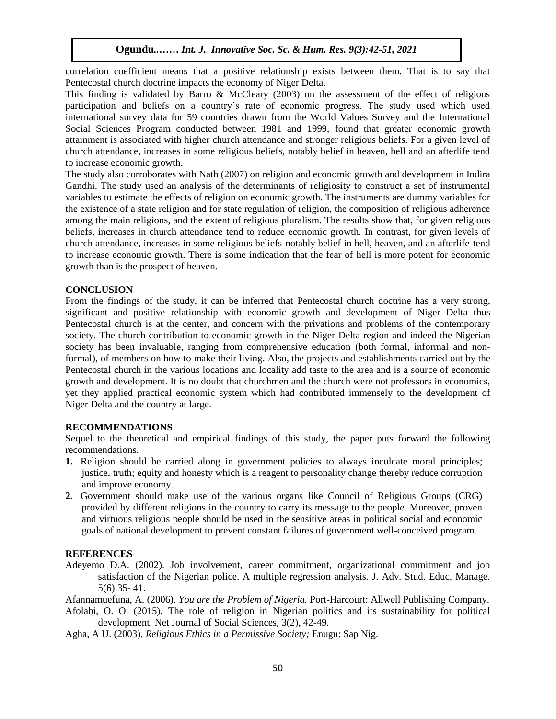correlation coefficient means that a positive relationship exists between them. That is to say that Pentecostal church doctrine impacts the economy of Niger Delta.

This finding is validated by Barro & McCleary (2003) on the assessment of the effect of religious participation and beliefs on a country's rate of economic progress. The study used which used international survey data for 59 countries drawn from the World Values Survey and the International Social Sciences Program conducted between 1981 and 1999, found that greater economic growth attainment is associated with higher church attendance and stronger religious beliefs. For a given level of church attendance, increases in some religious beliefs, notably belief in heaven, hell and an afterlife tend to increase economic growth.

The study also corroborates with Nath (2007) on religion and economic growth and development in Indira Gandhi. The study used an analysis of the determinants of religiosity to construct a set of instrumental variables to estimate the effects of religion on economic growth. The instruments are dummy variables for the existence of a state religion and for state regulation of religion, the composition of religious adherence among the main religions, and the extent of religious pluralism. The results show that, for given religious beliefs, increases in church attendance tend to reduce economic growth. In contrast, for given levels of church attendance, increases in some religious beliefs-notably belief in hell, heaven, and an afterlife-tend to increase economic growth. There is some indication that the fear of hell is more potent for economic growth than is the prospect of heaven.

# **CONCLUSION**

**EXECTS:**<br>From the findings of the study, it can be inferred that Pentecostal church doctrine has a very strong, significant and positive relationship with economic growth and development of Niger Delta thus Pentecostal church is at the center, and concern with the privations and problems of the contemporary society. The church contribution to economic growth in the Niger Delta region and indeed the Nigerian society has been invaluable, ranging from comprehensive education (both formal, informal and nonformal), of members on how to make their living. Also, the projects and establishments carried out by the Pentecostal church in the various locations and locality add taste to the area and is a source of economic growth and development. It is no doubt that churchmen and the church were not professors in economics, yet they applied practical economic system which had contributed immensely to the development of Niger Delta and the country at large.

# **RECOMMENDATIONS**

Sequel to the theoretical and empirical findings of this study, the paper puts forward the following recommendations.

- **1.** Religion should be carried along in government policies to always inculcate moral principles; justice, truth; equity and honesty which is a reagent to personality change thereby reduce corruption and improve economy.
- **2.** Government should make use of the various organs like Council of Religious Groups (CRG) provided by different religions in the country to carry its message to the people. Moreover, proven and virtuous religious people should be used in the sensitive areas in political social and economic goals of national development to prevent constant failures of government well-conceived program.

# **REFERENCES**

Adeyemo D.A. (2002). Job involvement, career commitment, organizational commitment and job satisfaction of the Nigerian police. A multiple regression analysis. J. Adv. Stud. Educ. Manage. 5(6):35- 41.

Afannamuefuna, A. (2006). *You are the Problem of Nigeria.* Port-Harcourt: Allwell Publishing Company.

- Afolabi, O. O. (2015). The role of religion in Nigerian politics and its sustainability for political development. Net Journal of Social Sciences, 3(2), 42-49.
- Agha, A U. (2003), *Religious Ethics in a Permissive Society;* Enugu: Sap Nig.